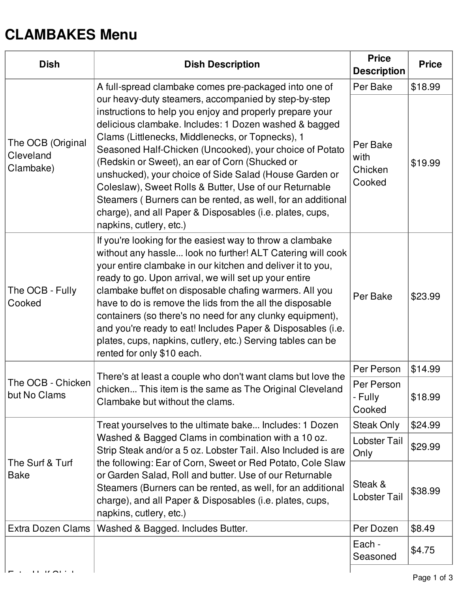## **CLAMBAKES Menu**

| <b>Dish</b>                                                                             | <b>Dish Description</b>                                                                                                                                                                                                                                                                                                                                                                                                                                                                                                                                                                                              | <b>Price</b><br><b>Description</b>    | <b>Price</b> |
|-----------------------------------------------------------------------------------------|----------------------------------------------------------------------------------------------------------------------------------------------------------------------------------------------------------------------------------------------------------------------------------------------------------------------------------------------------------------------------------------------------------------------------------------------------------------------------------------------------------------------------------------------------------------------------------------------------------------------|---------------------------------------|--------------|
|                                                                                         | A full-spread clambake comes pre-packaged into one of                                                                                                                                                                                                                                                                                                                                                                                                                                                                                                                                                                | Per Bake                              | \$18.99      |
| The OCB (Original<br>Cleveland<br>Clambake)                                             | our heavy-duty steamers, accompanied by step-by-step<br>instructions to help you enjoy and properly prepare your<br>delicious clambake. Includes: 1 Dozen washed & bagged<br>Clams (Littlenecks, Middlenecks, or Topnecks), 1<br>Seasoned Half-Chicken (Uncooked), your choice of Potato<br>(Redskin or Sweet), an ear of Corn (Shucked or<br>unshucked), your choice of Side Salad (House Garden or<br>Coleslaw), Sweet Rolls & Butter, Use of our Returnable<br>Steamers (Burners can be rented, as well, for an additional<br>charge), and all Paper & Disposables (i.e. plates, cups,<br>napkins, cutlery, etc.) | Per Bake<br>with<br>Chicken<br>Cooked | \$19.99      |
| The OCB - Fully<br>Cooked                                                               | If you're looking for the easiest way to throw a clambake<br>without any hassle look no further! ALT Catering will cook<br>your entire clambake in our kitchen and deliver it to you,<br>ready to go. Upon arrival, we will set up your entire<br>clambake buffet on disposable chafing warmers. All you<br>have to do is remove the lids from the all the disposable<br>containers (so there's no need for any clunky equipment),<br>and you're ready to eat! Includes Paper & Disposables (i.e.<br>plates, cups, napkins, cutlery, etc.) Serving tables can be<br>rented for only \$10 each.                       | Per Bake                              | \$23.99      |
|                                                                                         |                                                                                                                                                                                                                                                                                                                                                                                                                                                                                                                                                                                                                      | Per Person                            | \$14.99      |
| The OCB - Chicken<br>but No Clams                                                       | There's at least a couple who don't want clams but love the<br>chicken This item is the same as The Original Cleveland<br>Clambake but without the clams.                                                                                                                                                                                                                                                                                                                                                                                                                                                            | Per Person<br>- Fully<br>Cooked       | \$18.99      |
| The Surf & Turf<br><b>Bake</b>                                                          | Treat yourselves to the ultimate bake Includes: 1 Dozen<br>Washed & Bagged Clams in combination with a 10 oz.<br>Strip Steak and/or a 5 oz. Lobster Tail. Also Included is are<br>the following: Ear of Corn, Sweet or Red Potato, Cole Slaw<br>or Garden Salad, Roll and butter. Use of our Returnable<br>Steamers (Burners can be rented, as well, for an additional<br>charge), and all Paper & Disposables (i.e. plates, cups,<br>napkins, cutlery, etc.)                                                                                                                                                        | Steak Only                            | \$24.99      |
|                                                                                         |                                                                                                                                                                                                                                                                                                                                                                                                                                                                                                                                                                                                                      | <b>Lobster Tail</b><br>Only           | \$29.99      |
|                                                                                         |                                                                                                                                                                                                                                                                                                                                                                                                                                                                                                                                                                                                                      | Steak &<br><b>Lobster Tail</b>        | \$38.99      |
| Extra Dozen Clams                                                                       | Washed & Bagged. Includes Butter.                                                                                                                                                                                                                                                                                                                                                                                                                                                                                                                                                                                    | Per Dozen                             | \$8.49       |
|                                                                                         |                                                                                                                                                                                                                                                                                                                                                                                                                                                                                                                                                                                                                      | Each -<br>Seasoned                    | \$4.75       |
| $\mathbf{r}$ , $\mathbf{r}$ , $\mathbf{r}$ , $\mathbf{r}$ , $\mathbf{r}$ , $\mathbf{r}$ |                                                                                                                                                                                                                                                                                                                                                                                                                                                                                                                                                                                                                      |                                       |              |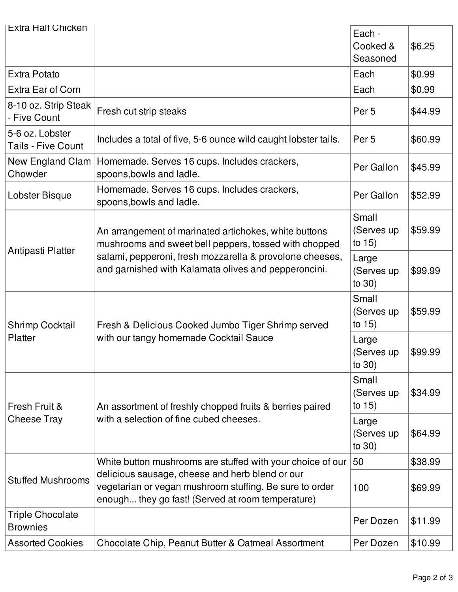| <b>Extra Halt Chicken</b>                    |                                                                                                                                                                        | Each -<br>Cooked &<br>Seasoned   | \$6.25  |
|----------------------------------------------|------------------------------------------------------------------------------------------------------------------------------------------------------------------------|----------------------------------|---------|
| <b>Extra Potato</b>                          |                                                                                                                                                                        | Each                             | \$0.99  |
| Extra Ear of Corn                            |                                                                                                                                                                        | Each                             | \$0.99  |
| 8-10 oz. Strip Steak<br>- Five Count         | Fresh cut strip steaks                                                                                                                                                 | Per <sub>5</sub>                 | \$44.99 |
| 5-6 oz. Lobster<br><b>Tails - Five Count</b> | Includes a total of five, 5-6 ounce wild caught lobster tails.                                                                                                         | Per <sub>5</sub>                 | \$60.99 |
| New England Clam<br>Chowder                  | Homemade. Serves 16 cups. Includes crackers,<br>spoons, bowls and ladle.                                                                                               | Per Gallon                       | \$45.99 |
| Lobster Bisque                               | Homemade. Serves 16 cups. Includes crackers,<br>spoons, bowls and ladle.                                                                                               | Per Gallon                       | \$52.99 |
|                                              | An arrangement of marinated artichokes, white buttons<br>mushrooms and sweet bell peppers, tossed with chopped                                                         | Small<br>(Serves up<br>to $15)$  | \$59.99 |
| Antipasti Platter<br><b>Shrimp Cocktail</b>  | salami, pepperoni, fresh mozzarella & provolone cheeses,<br>and garnished with Kalamata olives and pepperoncini.<br>Fresh & Delicious Cooked Jumbo Tiger Shrimp served | Large<br>(Serves up<br>to $30)$  | \$99.99 |
|                                              |                                                                                                                                                                        | Small<br>(Serves up<br>to $15)$  | \$59.99 |
| Platter<br>Fresh Fruit &                     | with our tangy homemade Cocktail Sauce<br>An assortment of freshly chopped fruits & berries paired                                                                     | Large<br>(Serves up<br>to $30)$  | \$99.99 |
|                                              |                                                                                                                                                                        | Small<br>(Serves up<br>to $15$ ) | \$34.99 |
| <b>Cheese Tray</b>                           | with a selection of fine cubed cheeses.                                                                                                                                | Large<br>(Serves up<br>to $30)$  | \$64.99 |
|                                              | White button mushrooms are stuffed with your choice of our                                                                                                             | 50                               | \$38.99 |
| <b>Stuffed Mushrooms</b>                     | delicious sausage, cheese and herb blend or our<br>vegetarian or vegan mushroom stuffing. Be sure to order<br>enough they go fast! (Served at room temperature)        | 100                              | \$69.99 |
| <b>Triple Chocolate</b><br><b>Brownies</b>   |                                                                                                                                                                        | Per Dozen                        | \$11.99 |
| <b>Assorted Cookies</b>                      | Chocolate Chip, Peanut Butter & Oatmeal Assortment                                                                                                                     | Per Dozen                        | \$10.99 |